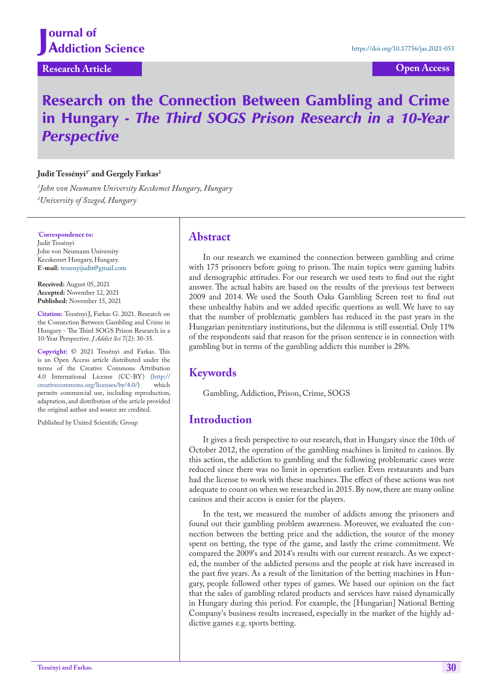**Research Article Open Access**

# Research on the Connection Between Gambling and Crime in Hungary - *The Third SOGS Prison Research in a 10-Year Perspective*

#### Judit Tessényi<sup>1\*</sup> and Gergely Farkas<sup>2</sup>

*1 John von Neumann University Kecskemet Hungary, Hungary 2 University of Szeged, Hungary*

**\* Correspondence to:** Judit Tessényi John von Neumann University Kecskemet Hungary, Hungary. **E-mail:** tessenyijudit@gmail.com

**Received:** August 05, 2021 **Accepted:** November 12, 2021 **Published:** November 15, 2021

**Citation:** Tessényi J, Farkas G. 2021. Research on the Connection Between Gambling and Crime in Hungary - The Third SOGS Prison Research in a 10-Year Perspective. *J Addict Sci* 7(2): 30-35.

**Copyright:** © 2021 Tessényi and Farkas. This is an Open Access article distributed under the terms of the Creative Commons Attribution 4.0 International License (CC-BY) (http://<br>creativecommons.org/licenses/bv/4.0/) which creativecommons.org/licenses/by/4.0/) permits commercial use, including reproduction, adaptation, and distribution of the article provided the original author and source are credited.

Published by United Scientific Group

#### **Abstract**

In our research we examined the connection between gambling and crime with 175 prisoners before going to prison. The main topics were gaming habits and demographic attitudes. For our research we used tests to find out the right answer. The actual habits are based on the results of the previous test between 2009 and 2014. We used the South Oaks Gambling Screen test to find out these unhealthy habits and we added specific questions as well. We have to say that the number of problematic gamblers has reduced in the past years in the Hungarian penitentiary institutions, but the dilemma is still essential. Only 11% of the respondents said that reason for the prison sentence is in connection with gambling but in terms of the gambling addicts this number is 28%.

## **Keywords**

Gambling, Addiction, Prison, Crime, SOGS

## **Introduction**

It gives a fresh perspective to our research, that in Hungary since the 10th of October 2012, the operation of the gambling machines is limited to casinos. By this action, the addiction to gambling and the following problematic cases were reduced since there was no limit in operation earlier. Even restaurants and bars had the license to work with these machines. The effect of these actions was not adequate to count on when we researched in 2015. By now, there are many online casinos and their access is easier for the players.

In the test, we measured the number of addicts among the prisoners and found out their gambling problem awareness. Moreover, we evaluated the connection between the betting price and the addiction, the source of the money spent on betting, the type of the game, and lastly the crime commitment. We compared the 2009's and 2014's results with our current research. As we expected, the number of the addicted persons and the people at risk have increased in the past five years. As a result of the limitation of the betting machines in Hungary, people followed other types of games. We based our opinion on the fact that the sales of gambling related products and services have raised dynamically in Hungary during this period. For example, the [Hungarian] National Betting Company's business results increased, especially in the market of the highly addictive games e.g. sports betting.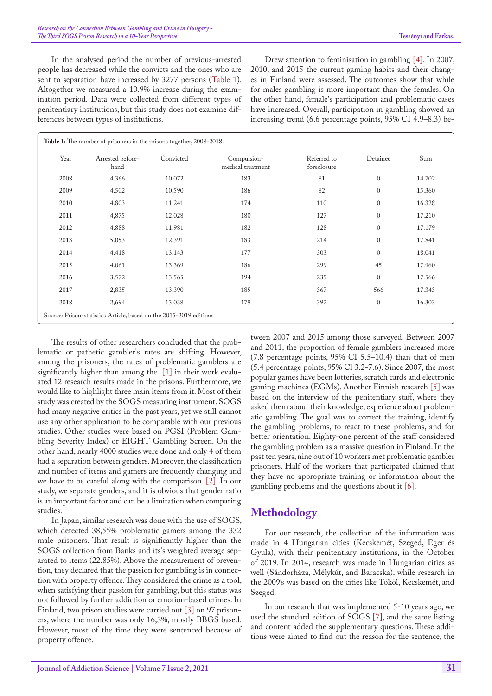In the analysed period the number of previous-arrested people has decreased while the convicts and the ones who are sent to separation have increased by 3277 persons ([Table 1\)](#page-1-0). Altogether we measured a 10.9% increase during the examination period. Data were collected from different types of penitentiary institutions, but this study does not examine differences between types of institutions.

Drew attention to feminisation in gambling [4]. In 2007, 2010, and 2015 the current gaming habits and their changes in Finland were assessed. The outcomes show that while for males gambling is more important than the females. On the other hand, female's participation and problematic cases have increased. Overall, participation in gambling showed an increasing trend (6.6 percentage points, 95% CI 4.9–8.3) be-

<span id="page-1-0"></span>

| Year | Arrested before-<br>hand | Convicted | Compulsion-<br>medical treatment | Referred to<br>foreclosure | Detainee     | Sum    |
|------|--------------------------|-----------|----------------------------------|----------------------------|--------------|--------|
| 2008 | 4.366                    | 10.072    | 183                              | 81                         | $\mathbf{0}$ | 14.702 |
| 2009 | 4.502                    | 10.590    | 186                              | 82                         | $\mathbf{0}$ | 15.360 |
| 2010 | 4.803                    | 11.241    | 174                              | 110                        | $\mathbf{0}$ | 16.328 |
| 2011 | 4,875                    | 12.028    | 180                              | 127                        | $\mathbf{0}$ | 17.210 |
| 2012 | 4.888                    | 11.981    | 182                              | 128                        | $\mathbf{0}$ | 17.179 |
| 2013 | 5.053                    | 12.391    | 183                              | 214                        | $\mathbf{0}$ | 17.841 |
| 2014 | 4.418                    | 13.143    | 177                              | 303                        | $\mathbf{0}$ | 18.041 |
| 2015 | 4.061                    | 13.369    | 186                              | 299                        | 45           | 17.960 |
| 2016 | 3.572                    | 13.565    | 194                              | 235                        | $\mathbf{0}$ | 17.566 |
| 2017 | 2,835                    | 13.390    | 185                              | 367                        | 566          | 17.343 |
| 2018 | 2,694                    | 13.038    | 179                              | 392                        | $\mathbf{0}$ | 16.303 |

The results of other researchers concluded that the problematic or pathetic gambler's rates are shifting. However, among the prisoners, the rates of problematic gamblers are significantly higher than among the [[1\]](#page-5-0) in their work evaluated 12 research results made in the prisons. Furthermore, we would like to highlight three main items from it. Most of their study was created by the SOGS measuring instrument. SOGS had many negative critics in the past years, yet we still cannot use any other application to be comparable with our previous studies. Other studies were based on PGSI (Problem Gambling Severity Index) or EIGHT Gambling Screen. On the other hand, nearly 4000 studies were done and only 4 of them had a separation between genders. Moreover, the classification and number of items and gamers are frequently changing and we have to be careful along with the comparison. [[2\]](#page-5-1). In our study, we separate genders, and it is obvious that gender ratio is an important factor and can be a limitation when comparing studies.

In Japan, similar research was done with the use of SOGS, which detected 38,55% problematic gamers among the 332 male prisoners. That result is significantly higher than the SOGS collection from Banks and its's weighted average separated to items (22.85%). Above the measurement of prevention, they declared that the passion for gambling is in connection with property offence. They considered the crime as a tool, when satisfying their passion for gambling, but this status was not followed by further addiction or emotion-based crimes. In Finland, two prison studies were carried out [3] on 97 prisoners, where the number was only 16,3%, mostly BBGS based. However, most of the time they were sentenced because of property offence.

tween 2007 and 2015 among those surveyed. Between 2007 and 2011, the proportion of female gamblers increased more (7.8 percentage points, 95% CI 5.5–10.4) than that of men (5.4 percentage points, 95% Cl 3.2-7.6). Since 2007, the most popular games have been lotteries, scratch cards and electronic gaming machines (EGMs). Another Finnish research [5] was based on the interview of the penitentiary staff, where they asked them about their knowledge, experience about problematic gambling. The goal was to correct the training, identify the gambling problems, to react to these problems, and for better orientation. Eighty-one percent of the staff considered the gambling problem as a massive question in Finland. In the past ten years, nine out of 10 workers met problematic gambler prisoners. Half of the workers that participated claimed that they have no appropriate training or information about the gambling problems and the questions about it [[6\]](#page-5-2).

## **Methodology**

For our research, the collection of the information was made in 4 Hungarian cities (Kecskemét, Szeged, Eger és Gyula), with their penitentiary institutions, in the October of 2019. In 2014, research was made in Hungarian cities as well (Sándorháza, Mélykút, and Baracska), while research in the 2009's was based on the cities like Tököl, Kecskemét, and Szeged.

In our research that was implemented 5-10 years ago, we used the standard edition of SOGS [[7\]](#page-5-3), and the same listing and content added the supplementary questions. These additions were aimed to find out the reason for the sentence, the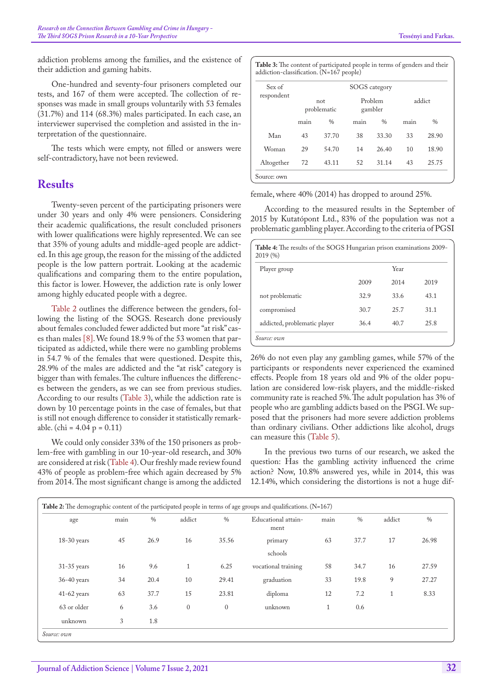addiction problems among the families, and the existence of their addiction and gaming habits.

One-hundred and seventy-four prisoners completed our tests, and 167 of them were accepted. The collection of responses was made in small groups voluntarily with 53 females (31.7%) and 114 (68.3%) males participated. In each case, an interviewer supervised the completion and assisted in the interpretation of the questionnaire.

The tests which were empty, not filled or answers were self-contradictory, have not been reviewed.

## **Results**

Twenty-seven percent of the participating prisoners were under 30 years and only 4% were pensioners. Considering their academic qualifications, the result concluded prisoners with lower qualifications were highly represented. We can see that 35% of young adults and middle-aged people are addicted. In this age group, the reason for the missing of the addicted people is the low pattern portrait. Looking at the academic qualifications and comparing them to the entire population, this factor is lower. However, the addiction rate is only lower among highly educated people with a degree.

[Table 2](#page-2-0) outlines the difference between the genders, following the listing of the SOGS. Research done previously about females concluded fewer addicted but more "at risk" cases than males [\[8](#page-5-4)]. We found 18.9 % of the 53 women that participated as addicted, while there were no gambling problems in 54.7 % of the females that were questioned. Despite this, 28.9% of the males are addicted and the "at risk" category is bigger than with females. The culture influences the differences between the genders, as we can see from previous studies. According to our results ([Table 3](#page-2-1)), while the addiction rate is down by 10 percentage points in the case of females, but that is still not enough difference to consider it statistically remarkable. (chi =  $4.04$  p =  $0.11$ )

We could only consider 33% of the 150 prisoners as problem-free with gambling in our 10-year-old research, and 30% are considered at risk [\(Table 4](#page-2-2)). Our freshly made review found 43% of people as problem-free which again decreased by 5% from 2014. The most significant change is among the addicted

<span id="page-2-1"></span>

| Sex of     |                    |               | <b>SOGS</b> category |               |        |       |
|------------|--------------------|---------------|----------------------|---------------|--------|-------|
| respondent | not<br>problematic |               | Problem<br>gambler   |               | addict |       |
|            | main               | $\frac{0}{0}$ | main                 | $\frac{0}{0}$ | main   | $\%$  |
| Man        | 43                 | 37.70         | 38                   | 33.30         | 33     | 28.90 |
| Woman      | 29                 | 54.70         | 14                   | 26.40         | 10     | 18.90 |
| Altogether | 72                 | 43.11         | 52                   | 31.14         | 43     | 25.75 |

female, where 40% (2014) has dropped to around 25%.

According to the measured results in the September of 2015 by Kutatópont Ltd., 83% of the population was not a problematic gambling player. According to the criteria of PGSI

<span id="page-2-2"></span>

| Table 4: The results of the SOGS Hungarian prison examinations 2009-<br>2019(%) |      |      |      |
|---------------------------------------------------------------------------------|------|------|------|
| Player group                                                                    |      | Year |      |
|                                                                                 | 2009 | 2014 | 2019 |
| not problematic                                                                 | 32.9 | 33.6 | 43.1 |
| compromised                                                                     | 30.7 | 25.7 | 31.1 |
| addicted, problematic player                                                    | 36.4 | 40.7 | 25.8 |
| Source: own                                                                     |      |      |      |

26% do not even play any gambling games, while 57% of the participants or respondents never experienced the examined effects. People from 18 years old and 9% of the older population are considered low-risk players, and the middle-risked community rate is reached 5%. The adult population has 3% of people who are gambling addicts based on the PSGI. We supposed that the prisoners had more severe addiction problems than ordinary civilians. Other addictions like alcohol, drugs can measure this ([Table 5\)](#page-3-0).

In the previous two turns of our research, we asked the question: Has the gambling activity influenced the crime action? Now, 10.8% answered yes, while in 2014, this was 12.14%, which considering the distortions is not a huge dif-

<span id="page-2-0"></span>

| age           | main | $\%$ | addict       | $\%$         | Educational attain-<br>ment | main         | $\%$ | addict       | $\%$  |
|---------------|------|------|--------------|--------------|-----------------------------|--------------|------|--------------|-------|
| $18-30$ years | 45   | 26.9 | 16           | 35.56        | primary                     | 63           | 37.7 | 17           | 26.98 |
|               |      |      |              |              | schools                     |              |      |              |       |
| $31-35$ years | 16   | 9.6  | 1            | 6.25         | vocational training         | 58           | 34.7 | 16           | 27.59 |
| $36-40$ years | 34   | 20.4 | 10           | 29.41        | graduation                  | 33           | 19.8 | 9            | 27.27 |
| $41-62$ years | 63   | 37.7 | 15           | 23.81        | diploma                     | 12           | 7.2  | $\mathbf{1}$ | 8.33  |
| 63 or older   | 6    | 3.6  | $\mathbf{0}$ | $\mathbf{0}$ | unknown                     | $\mathbf{1}$ | 0.6  |              |       |
| unknown       | 3    | 1.8  |              |              |                             |              |      |              |       |

**Journal of Addiction Science | Volume 7 Issue 2, 2021**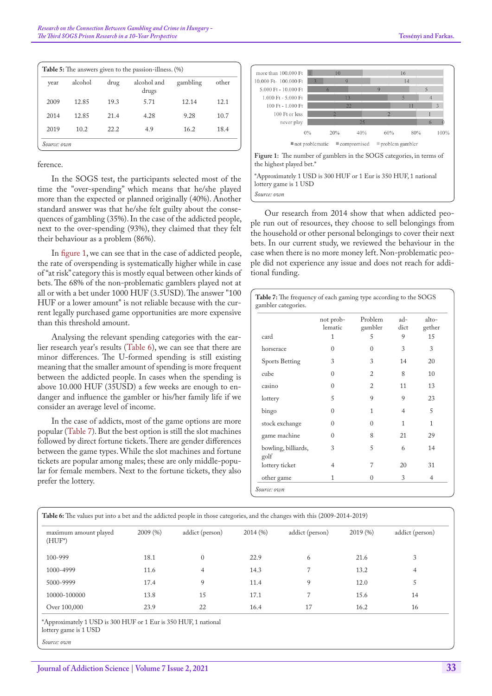<span id="page-3-0"></span>

| year | alcohol | drug | alcohol and<br>drugs | gambling | other |
|------|---------|------|----------------------|----------|-------|
| 2009 | 12.85   | 19.3 | 5.71                 | 12.14    | 12.1  |
| 2014 | 12.85   | 21.4 | 4.28                 | 9.28     | 10.7  |
| 2019 | 10.2    | 22.2 | 4.9                  | 16.2     | 18.4  |

ference.

In the SOGS test, the participants selected most of the time the "over-spending" which means that he/she played more than the expected or planned originally (40%). Another standard answer was that he/she felt guilty about the consequences of gambling (35%). In the case of the addicted people, next to the over-spending (93%), they claimed that they felt their behaviour as a problem (86%).

In [figure 1](#page-3-1), we can see that in the case of addicted people, the rate of overspending is systematically higher while in case of "at risk" category this is mostly equal between other kinds of bets. The 68% of the non-problematic gamblers played not at all or with a bet under 1000 HUF (3.5USD). The answer "100 HUF or a lower amount" is not reliable because with the current legally purchased game opportunities are more expensive than this threshold amount.

Analysing the relevant spending categories with the earlier research year's results [\(Table 6\)](#page-3-2), we can see that there are minor differences. The U-formed spending is still existing meaning that the smaller amount of spending is more frequent between the addicted people. In cases when the spending is above 10.000 HUF (35USD) a few weeks are enough to endanger and influence the gambler or his/her family life if we consider an average level of income.

In the case of addicts, most of the game options are more popular ([Table 7](#page-3-3)). But the best option is still the slot machines followed by direct fortune tickets. There are gender differences between the game types. While the slot machines and fortune tickets are popular among males; these are only middle-popular for female members. Next to the fortune tickets, they also prefer the lottery.



<span id="page-3-1"></span>**Figure 1:** The number of gamblers in the SOGS categories, in terms of the highest played bet.\*

\*Approximately 1 USD is 300 HUF or 1 Eur is 350 HUF, 1 national lottery game is 1 USD

*Source: own*

Our research from 2014 show that when addicted people run out of resources, they choose to sell belongings from the household or other personal belongings to cover their next bets. In our current study, we reviewed the behaviour in the case when there is no more money left. Non-problematic people did not experience any issue and does not reach for additional funding.

<span id="page-3-3"></span>

| <b>Table 7:</b> The frequency of each gaming type according to the SOGS<br>gambler categories. |                      |                    |               |                    |
|------------------------------------------------------------------------------------------------|----------------------|--------------------|---------------|--------------------|
|                                                                                                | not prob-<br>lematic | Problem<br>gambler | $ad-$<br>dict | $a$ lto-<br>gether |
| card                                                                                           | 1                    | 5                  | 9             | 15                 |
| horserace                                                                                      | 0                    | $\Omega$           | 3             | 3                  |
| <b>Sports Betting</b>                                                                          | 3                    | 3                  | 14            | 20                 |
| cube                                                                                           | $\Omega$             | $\overline{2}$     | 8             | 10                 |
| casino                                                                                         | $\Omega$             | $\overline{2}$     | 11            | 13                 |
| lottery                                                                                        | 5                    | 9                  | 9             | 23                 |
| bingo                                                                                          | 0                    | 1                  | 4             | 5                  |
| stock exchange                                                                                 | 0                    | $\theta$           | 1             | 1                  |
| game machine                                                                                   | $\Omega$             | 8                  | 21            | 29                 |
| bowling, billiards,<br>golf                                                                    | 3                    | 5                  | 6             | 14                 |
| lottery ticket                                                                                 | $\overline{4}$       | 7                  | 20            | 31                 |
| other game                                                                                     | 1                    | $\theta$           | 3             | 4                  |
| Source: own                                                                                    |                      |                    |               |                    |

<span id="page-3-2"></span>

| maximum amount played<br>$(HUF^*)$ | 2009(%) | addict (person) | 2014(%) | addict (person) | 2019(%) | addict (person) |
|------------------------------------|---------|-----------------|---------|-----------------|---------|-----------------|
| $100 - 999$                        | 18.1    | $\Omega$        | 22.9    | 6               | 21.6    | 3               |
| 1000-4999                          | 11.6    | 4               | 14.3    |                 | 13.2    | 4               |
| 5000-9999                          | 17.4    | 9               | 11.4    | 9               | 12.0    | 5               |
| 10000-100000                       | 13.8    | 15              | 17.1    |                 | 15.6    | 14              |
| Over 100,000                       | 23.9    | 22              | 16.4    | 17              | 16.2    | 16              |

\*Approximately 1 USD is 300 HUF or 1 Eur is 350 HUF, 1 national

*Source: own*

lottery game is 1 USD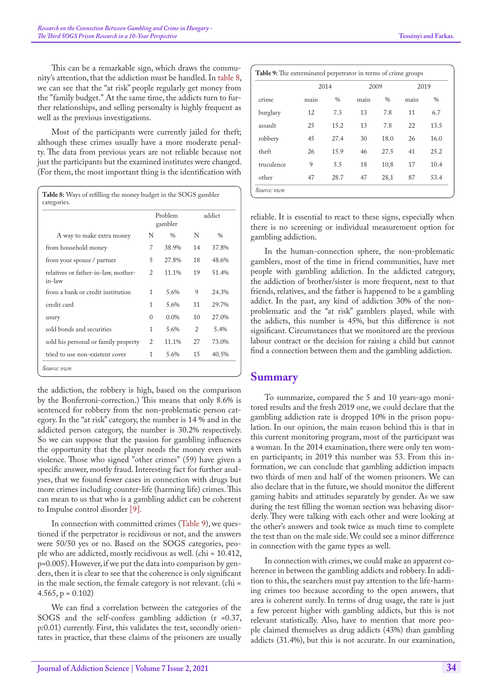This can be a remarkable sign, which draws the community's attention, that the addiction must be handled. In [table 8](#page-4-0), we can see that the "at risk" people regularly get money from the "family budget." At the same time, the addicts turn to further relationships, and selling personalty is highly frequent as well as the previous investigations.

Most of the participants were currently jailed for theft; although these crimes usually have a more moderate penalty. The data from previous years are not reliable because not just the participants but the examined institutes were changed. (For them, the most important thing is the identification with

<span id="page-4-0"></span>

|                                               |                | Problem<br>gambler |    | addict        |
|-----------------------------------------------|----------------|--------------------|----|---------------|
| A way to make extra money                     | N              | $\frac{0}{0}$      | N  | $\frac{0}{0}$ |
| from household money                          | 7              | 38.9%              | 14 | 37.8%         |
| from your spouse / partner                    | 5              | 27.8%              | 18 | 48.6%         |
| relatives or father-in-law, mother-<br>in-law | 2              | 11.1%              | 19 | 51.4%         |
| from a bank or credit institution             | 1              | 5.6%               | 9  | 24.3%         |
| credit card                                   | 1              | 5.6%               | 11 | 29.7%         |
| usury                                         | 0              | $0.0\%$            | 10 | 27.0%         |
| sold bonds and securities                     | 1              | 5.6%               | 2  | 5.4%          |
| sold his personal or family property          | $\overline{2}$ | 11.1%              | 27 | 73.0%         |
| tried to use non-existent cover               | 1              | 5.6%               | 15 | 40.5%         |

the addiction, the robbery is high, based on the comparison by the Bonferroni-correction.) This means that only 8.6% is sentenced for robbery from the non-problematic person category. In the "at risk" category, the number is 14 % and in the addicted person category, the number is 30.2% respectively. So we can suppose that the passion for gambling influences the opportunity that the player needs the money even with violence. Those who signed "other crimes" (59) have given a specific answer, mostly fraud. Interesting fact for further analyses, that we found fewer cases in connection with drugs but more crimes including counter-life (harming life) crimes. This can mean to us that who is a gambling addict can be coherent to Impulse control disorder [[9\]](#page-5-5).

In connection with committed crimes [\(Table 9\)](#page-4-1), we questioned if the perpetrator is recidivous or not, and the answers were 50/50 yes or no. Based on the SOGS categories, people who are addicted, mostly recidivous as well. (chi = 10.412, p=0.005). However, if we put the data into comparison by genders, then it is clear to see that the coherence is only significant in the male section, the female category is not relevant. (chi =  $4.565$ ,  $p = 0.102$ 

We can find a correlation between the categories of the SOGS and the self-confess gambling addiction (r =0.37, p:0.01) currently. First, this validates the test, secondly orientates in practice, that these claims of the prisoners are usually

<span id="page-4-1"></span>

|            |      | 2014          |      | 2009          |      | 2019          |  |
|------------|------|---------------|------|---------------|------|---------------|--|
| crime      | main | $\frac{0}{0}$ | main | $\frac{0}{0}$ | main | $\frac{0}{0}$ |  |
| burglary   | 12   | 7.3           | 13   | 7.8           | 11   | 6.7           |  |
| assault    | 25   | 15.2          | 13   | 7.8           | 22   | 13.5          |  |
| robbery    | 45   | 27.4          | 30   | 18.0          | 26   | 16.0          |  |
| theft      | 26   | 15.9          | 46   | 27.5          | 41   | 25.2          |  |
| truculence | 9    | 5.5           | 18   | 10,8          | 17   | 10.4          |  |
| other      | 47   | 28.7          | 47   | 28,1          | 87   | 53.4          |  |

reliable. It is essential to react to these signs, especially when there is no screening or individual measurement option for gambling addiction.

In the human-connection sphere, the non-problematic gamblers, most of the time in friend communities, have met people with gambling addiction. In the addicted category, the addiction of brother/sister is more frequent, next to that friends, relatives, and the father is happened to be a gambling addict. In the past, any kind of addiction 30% of the nonproblematic and the "at risk" gamblers played, while with the addicts, this number is 45%, but this difference is not significant. Circumstances that we monitored are the previous labour contract or the decision for raising a child but cannot find a connection between them and the gambling addiction.

#### **Summary**

To summarize, compared the 5 and 10 years-ago monitored results and the fresh 2019 one, we could declare that the gambling addiction rate is dropped 10% in the prison population. In our opinion, the main reason behind this is that in this current monitoring program, most of the participant was a woman. In the 2014 examination, there were only ten women participants; in 2019 this number was 53. From this information, we can conclude that gambling addiction impacts two thirds of men and half of the women prisoners. We can also declare that in the future, we should monitor the different gaming habits and attitudes separately by gender. As we saw during the test filling the woman section was behaving disorderly. They were talking with each other and were looking at the other's answers and took twice as much time to complete the test than on the male side. We could see a minor difference in connection with the game types as well.

In connection with crimes, we could make an apparent coherence in between the gambling addicts and robbery. In addition to this, the searchers must pay attention to the life-harming crimes too because according to the open answers, that area is coherent surely. In terms of drug usage, the rate is just a few percent higher with gambling addicts, but this is not relevant statistically. Also, have to mention that more people claimed themselves as drug addicts (43%) than gambling addicts (31.4%), but this is not accurate. In our examination,